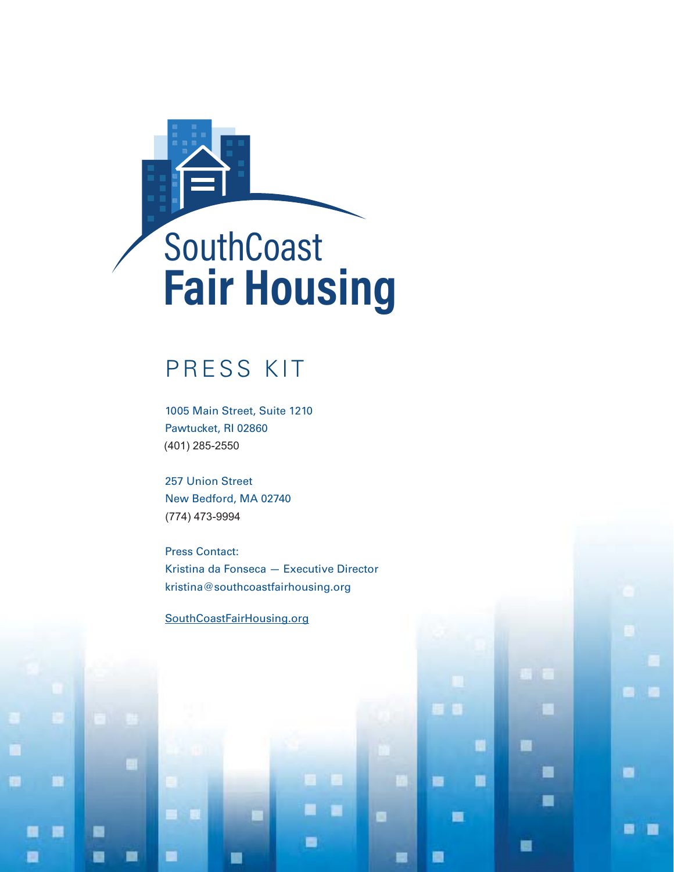

# PRESS KIT

1005 Main Street, Suite 1210 Pawtucket, RI 02860 (401) 285-2550

257 Union Street New Bedford, MA 02740 (774) 473-9994 (401) 257<br>
257 Union Stre<br>
New Bedford,<br>
274) 473-9994

Press Contact: Kristina da Fonseca — Executive Director kristina@southcoastfairhousing.org

п

圖

G

۰

團

a

G

۰

■

SouthCoastFairHousing.org

m

o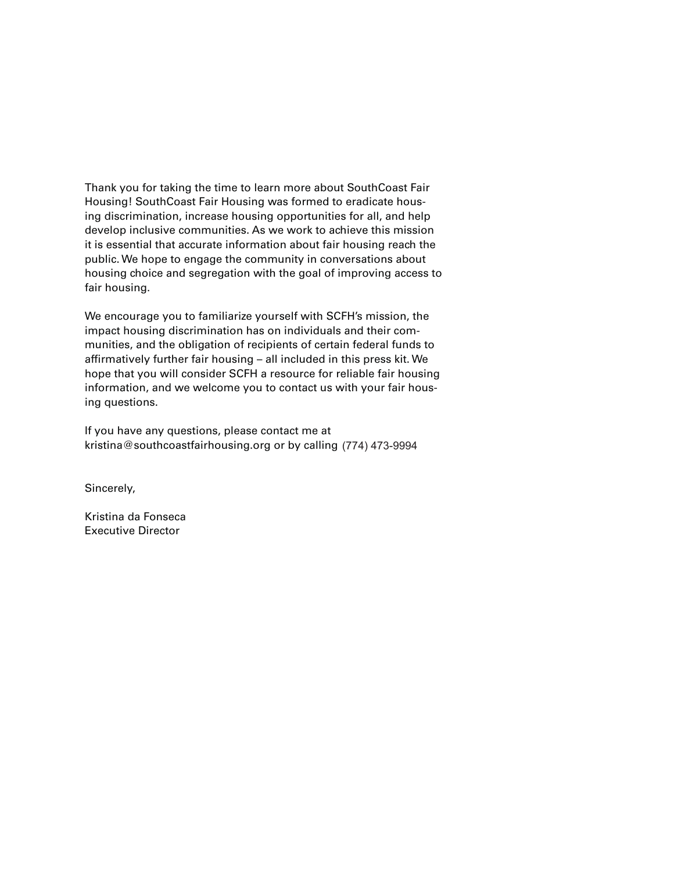Thank you for taking the time to learn more about SouthCoast Fair Housing! SouthCoast Fair Housing was formed to eradicate housing discrimination, increase housing opportunities for all, and help develop inclusive communities. As we work to achieve this mission it is essential that accurate information about fair housing reach the public. We hope to engage the community in conversations about housing choice and segregation with the goal of improving access to fair housing.

We encourage you to familiarize yourself with SCFH's mission, the impact housing discrimination has on individuals and their communities, and the obligation of recipients of certain federal funds to affirmatively further fair housing – all included in this press kit. We hope that you will consider SCFH a resource for reliable fair housing information, and we welcome you to contact us with your fair housing questions.

If you have any questions, please contact me at kristina@southcoastfairhousing.org or by calling (774) 473-9994  $\sqrt{7}$ 

Sincerely,

Kristina da Fonseca Executive Director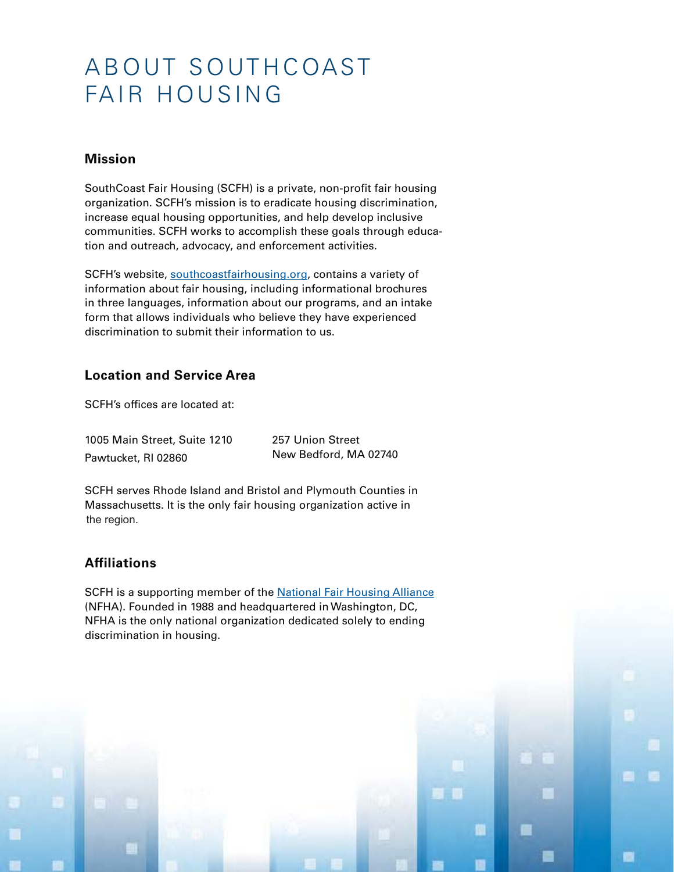# A BOUT SOUTH COAST FAIR HOUSING

### **Mission**

SouthCoast Fair Housing (SCFH) is a private, non-profit fair housing organization. SCFH's mission is to eradicate housing discrimination, increase equal housing opportunities, and help develop inclusive communities. SCFH works to accomplish these goals through education and outreach, advocacy, and enforcement activities.

SCFH's website, southcoastfairhousing.org, contains a variety of information about fair housing, including informational brochures in three languages, information about our programs, and an intake form that allows individuals who believe they have experienced discrimination to submit their information to us.

## **Location and Service Area**

SCFH's offices are located at:

| 1005 Main Street, Suite 1210 |
|------------------------------|
| Pawtucket, RI 02860          |

257 Union Street New Bedford, MA 02740

H

.

SCFH serves Rhode Island and Bristol and Plymouth Counties in Massachusetts. It is the only fair housing organization active in the region. the region.

## **Affiliations**

SCFH is a supporting member of the National Fair Housing Alliance (NFHA). Founded in 1988 and headquartered in Washington, DC, NFHA is the only national organization dedicated solely to ending discrimination in housing.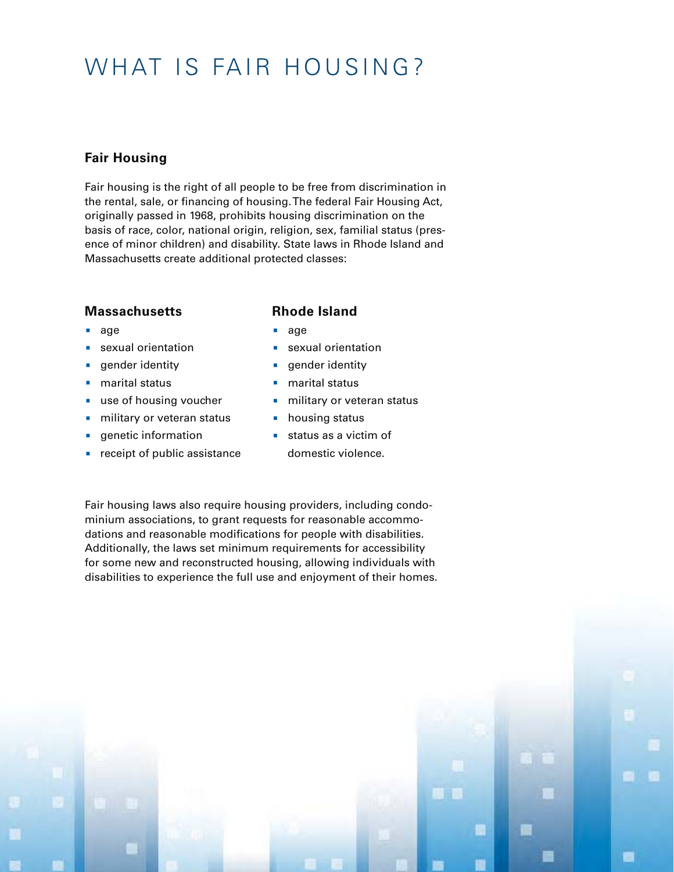# WHAT IS FAIR HOUSING?

## **Fair Housing**

Fair housing is the right of all people to be free from discrimination in the rental, sale, or financing of housing. The federal Fair Housing Act, originally passed in 1968, prohibits housing discrimination on the basis of race, color, national origin, religion, sex, familial status (presence of minor children) and disability. State laws in Rhode Island and Massachusetts create additional protected classes:

#### **Massachusetts**

#### **Rhode Island**

- age
- sexual orientation
- **•** gender identity
- marital status
- use of housing voucher
- **•** military or veteran status
- genetic information
- **•** receipt of public assistance
- age
- sexual orientation
- **•** gender identity
- marital status
- **•** military or veteran status

H

a.

- housing status
- status as a victim of
- domestic violence.

Fair housing laws also require housing providers, including condominium associations, to grant requests for reasonable accommodations and reasonable modifications for people with disabilities. Additionally, the laws set minimum requirements for accessibility for some new and reconstructed housing, allowing individuals with disabilities to experience the full use and enjoyment of their homes.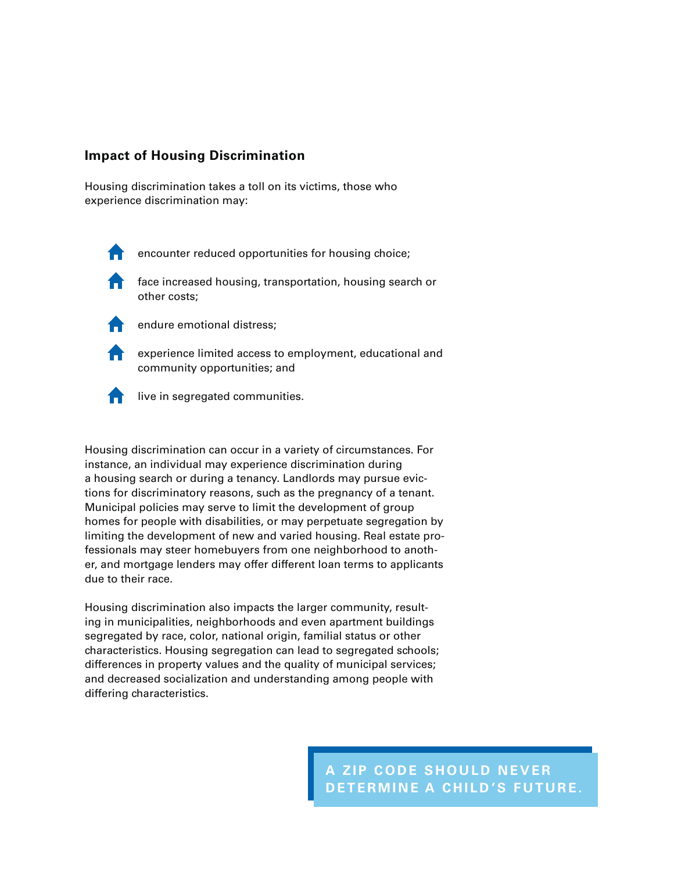### **Impact of Housing Discrimination**

Housing discrimination takes a toll on its victims, those who experience discrimination may:



encounter reduced opportunities for housing choice;



**f** face increased housing, transportation, housing search or other costs;



endure emotional distress;

**Experience limited access to employment, educational and** community opportunities; and



 $\uparrow$  live in segregated communities.

Housing discrimination can occur in a variety of circumstances. For instance, an individual may experience discrimination during a housing search or during a tenancy. Landlords may pursue evictions for discriminatory reasons, such as the pregnancy of a tenant. Municipal policies may serve to limit the development of group homes for people with disabilities, or may perpetuate segregation by limiting the development of new and varied housing. Real estate professionals may steer homebuyers from one neighborhood to another, and mortgage lenders may offer different loan terms to applicants due to their race.

Housing discrimination also impacts the larger community, resulting in municipalities, neighborhoods and even apartment buildings segregated by race, color, national origin, familial status or other characteristics. Housing segregation can lead to segregated schools; differences in property values and the quality of municipal services; and decreased socialization and understanding among people with differing characteristics.

> **A ZIP CODE SHOULD NEVER DETERMINE A CHILD'S FUTURE.**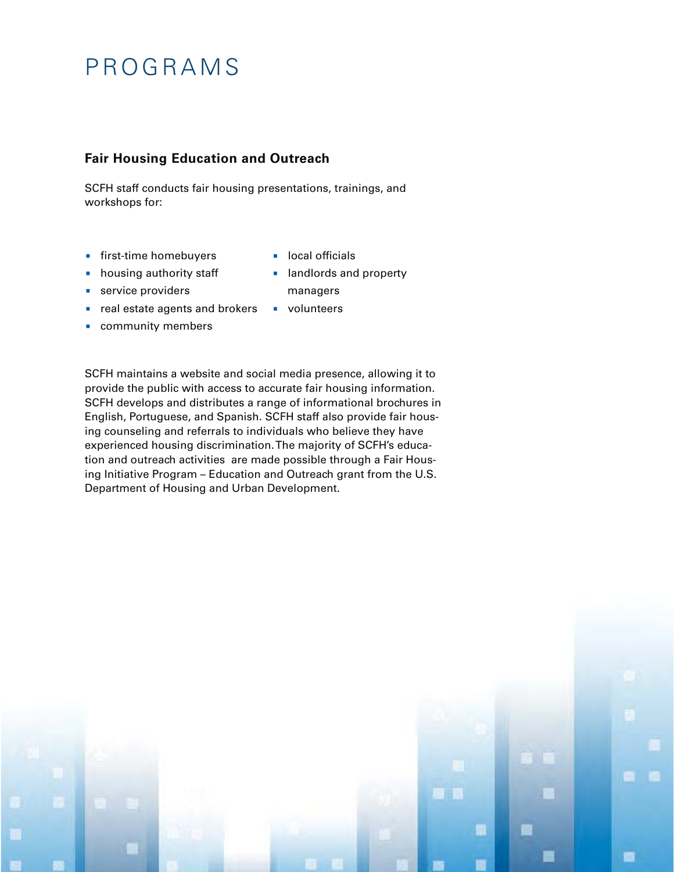# PROGRAMS

## **Fair Housing Education and Outreach**

SCFH staff conducts fair housing presentations, trainings, and workshops for:

- **•** first-time homebuyers
- housing authority staff
- **•** service providers
- real estate agents and brokers
- community members
- landlords and property managers

**CONTRACT** 

**•** volunteers

**•** local officials

SCFH maintains a website and social media presence, allowing it to provide the public with access to accurate fair housing information. SCFH develops and distributes a range of informational brochures in English, Portuguese, and Spanish. SCFH staff also provide fair housing counseling and referrals to individuals who believe they have experienced housing discrimination. The majority of SCFH's education and outreach activities are made possible through a Fair Housing Initiative Program – Education and Outreach grant from the U.S. Department of Housing and Urban Development.